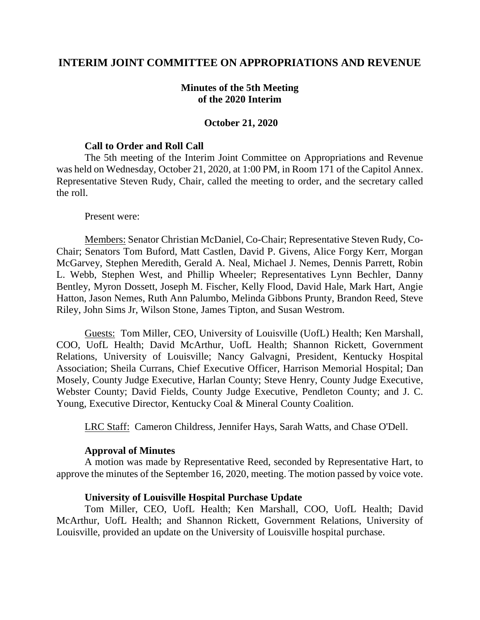## **INTERIM JOINT COMMITTEE ON APPROPRIATIONS AND REVENUE**

## **Minutes of the 5th Meeting of the 2020 Interim**

### **October 21, 2020**

### **Call to Order and Roll Call**

The 5th meeting of the Interim Joint Committee on Appropriations and Revenue was held on Wednesday, October 21, 2020, at 1:00 PM, in Room 171 of the Capitol Annex. Representative Steven Rudy, Chair, called the meeting to order, and the secretary called the roll.

#### Present were:

Members: Senator Christian McDaniel, Co-Chair; Representative Steven Rudy, Co-Chair; Senators Tom Buford, Matt Castlen, David P. Givens, Alice Forgy Kerr, Morgan McGarvey, Stephen Meredith, Gerald A. Neal, Michael J. Nemes, Dennis Parrett, Robin L. Webb, Stephen West, and Phillip Wheeler; Representatives Lynn Bechler, Danny Bentley, Myron Dossett, Joseph M. Fischer, Kelly Flood, David Hale, Mark Hart, Angie Hatton, Jason Nemes, Ruth Ann Palumbo, Melinda Gibbons Prunty, Brandon Reed, Steve Riley, John Sims Jr, Wilson Stone, James Tipton, and Susan Westrom.

Guests: Tom Miller, CEO, University of Louisville (UofL) Health; Ken Marshall, COO, UofL Health; David McArthur, UofL Health; Shannon Rickett, Government Relations, University of Louisville; Nancy Galvagni, President, Kentucky Hospital Association; Sheila Currans, Chief Executive Officer, Harrison Memorial Hospital; Dan Mosely, County Judge Executive, Harlan County; Steve Henry, County Judge Executive, Webster County; David Fields, County Judge Executive, Pendleton County; and J. C. Young, Executive Director, Kentucky Coal & Mineral County Coalition.

LRC Staff: Cameron Childress, Jennifer Hays, Sarah Watts, and Chase O'Dell.

#### **Approval of Minutes**

A motion was made by Representative Reed, seconded by Representative Hart, to approve the minutes of the September 16, 2020, meeting. The motion passed by voice vote.

#### **University of Louisville Hospital Purchase Update**

Tom Miller, CEO, UofL Health; Ken Marshall, COO, UofL Health; David McArthur, UofL Health; and Shannon Rickett, Government Relations, University of Louisville, provided an update on the University of Louisville hospital purchase.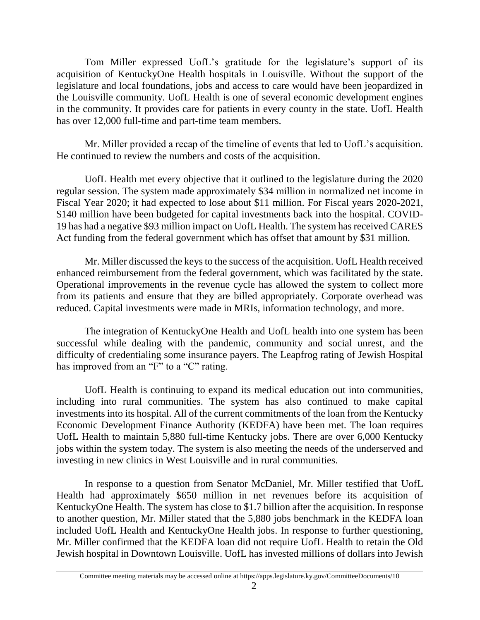Tom Miller expressed UofL's gratitude for the legislature's support of its acquisition of KentuckyOne Health hospitals in Louisville. Without the support of the legislature and local foundations, jobs and access to care would have been jeopardized in the Louisville community. UofL Health is one of several economic development engines in the community. It provides care for patients in every county in the state. UofL Health has over 12,000 full-time and part-time team members.

Mr. Miller provided a recap of the timeline of events that led to UofL's acquisition. He continued to review the numbers and costs of the acquisition.

UofL Health met every objective that it outlined to the legislature during the 2020 regular session. The system made approximately \$34 million in normalized net income in Fiscal Year 2020; it had expected to lose about \$11 million. For Fiscal years 2020-2021, \$140 million have been budgeted for capital investments back into the hospital. COVID-19 has had a negative \$93 million impact on UofL Health. The system has received CARES Act funding from the federal government which has offset that amount by \$31 million.

Mr. Miller discussed the keys to the success of the acquisition. UofL Health received enhanced reimbursement from the federal government, which was facilitated by the state. Operational improvements in the revenue cycle has allowed the system to collect more from its patients and ensure that they are billed appropriately. Corporate overhead was reduced. Capital investments were made in MRIs, information technology, and more.

The integration of KentuckyOne Health and UofL health into one system has been successful while dealing with the pandemic, community and social unrest, and the difficulty of credentialing some insurance payers. The Leapfrog rating of Jewish Hospital has improved from an "F" to a "C" rating.

UofL Health is continuing to expand its medical education out into communities, including into rural communities. The system has also continued to make capital investments into its hospital. All of the current commitments of the loan from the Kentucky Economic Development Finance Authority (KEDFA) have been met. The loan requires UofL Health to maintain 5,880 full-time Kentucky jobs. There are over 6,000 Kentucky jobs within the system today. The system is also meeting the needs of the underserved and investing in new clinics in West Louisville and in rural communities.

In response to a question from Senator McDaniel, Mr. Miller testified that UofL Health had approximately \$650 million in net revenues before its acquisition of KentuckyOne Health. The system has close to \$1.7 billion after the acquisition. In response to another question, Mr. Miller stated that the 5,880 jobs benchmark in the KEDFA loan included UofL Health and KentuckyOne Health jobs. In response to further questioning, Mr. Miller confirmed that the KEDFA loan did not require UofL Health to retain the Old Jewish hospital in Downtown Louisville. UofL has invested millions of dollars into Jewish

Committee meeting materials may be accessed online at https://apps.legislature.ky.gov/CommitteeDocuments/10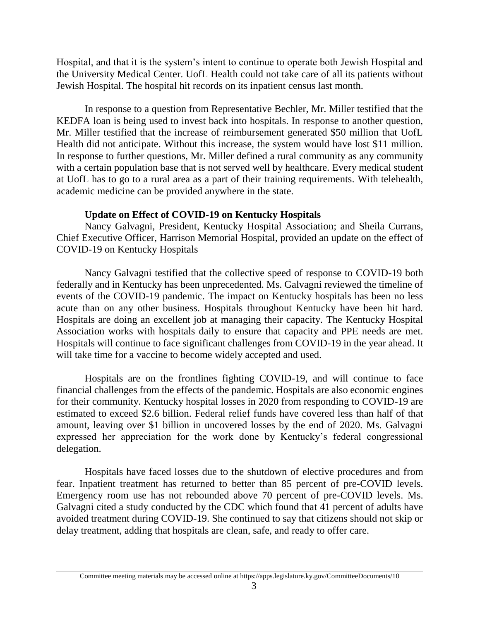Hospital, and that it is the system's intent to continue to operate both Jewish Hospital and the University Medical Center. UofL Health could not take care of all its patients without Jewish Hospital. The hospital hit records on its inpatient census last month.

In response to a question from Representative Bechler, Mr. Miller testified that the KEDFA loan is being used to invest back into hospitals. In response to another question, Mr. Miller testified that the increase of reimbursement generated \$50 million that UofL Health did not anticipate. Without this increase, the system would have lost \$11 million. In response to further questions, Mr. Miller defined a rural community as any community with a certain population base that is not served well by healthcare. Every medical student at UofL has to go to a rural area as a part of their training requirements. With telehealth, academic medicine can be provided anywhere in the state.

# **Update on Effect of COVID-19 on Kentucky Hospitals**

Nancy Galvagni, President, Kentucky Hospital Association; and Sheila Currans, Chief Executive Officer, Harrison Memorial Hospital, provided an update on the effect of COVID-19 on Kentucky Hospitals

Nancy Galvagni testified that the collective speed of response to COVID-19 both federally and in Kentucky has been unprecedented. Ms. Galvagni reviewed the timeline of events of the COVID-19 pandemic. The impact on Kentucky hospitals has been no less acute than on any other business. Hospitals throughout Kentucky have been hit hard. Hospitals are doing an excellent job at managing their capacity. The Kentucky Hospital Association works with hospitals daily to ensure that capacity and PPE needs are met. Hospitals will continue to face significant challenges from COVID-19 in the year ahead. It will take time for a vaccine to become widely accepted and used.

Hospitals are on the frontlines fighting COVID-19, and will continue to face financial challenges from the effects of the pandemic. Hospitals are also economic engines for their community. Kentucky hospital losses in 2020 from responding to COVID-19 are estimated to exceed \$2.6 billion. Federal relief funds have covered less than half of that amount, leaving over \$1 billion in uncovered losses by the end of 2020. Ms. Galvagni expressed her appreciation for the work done by Kentucky's federal congressional delegation.

Hospitals have faced losses due to the shutdown of elective procedures and from fear. Inpatient treatment has returned to better than 85 percent of pre-COVID levels. Emergency room use has not rebounded above 70 percent of pre-COVID levels. Ms. Galvagni cited a study conducted by the CDC which found that 41 percent of adults have avoided treatment during COVID-19. She continued to say that citizens should not skip or delay treatment, adding that hospitals are clean, safe, and ready to offer care.

Committee meeting materials may be accessed online at https://apps.legislature.ky.gov/CommitteeDocuments/10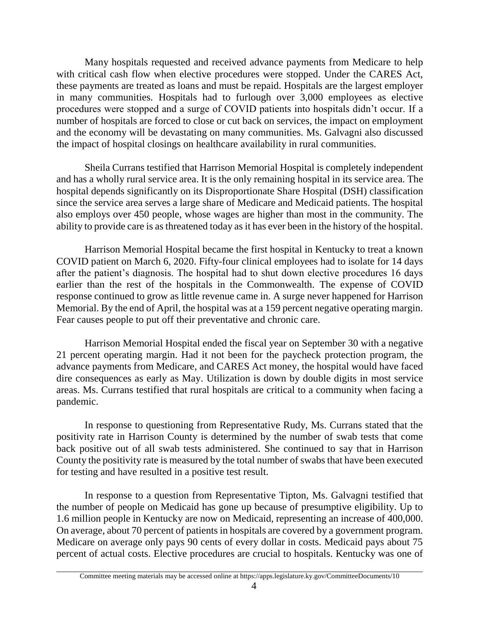Many hospitals requested and received advance payments from Medicare to help with critical cash flow when elective procedures were stopped. Under the CARES Act, these payments are treated as loans and must be repaid. Hospitals are the largest employer in many communities. Hospitals had to furlough over 3,000 employees as elective procedures were stopped and a surge of COVID patients into hospitals didn't occur. If a number of hospitals are forced to close or cut back on services, the impact on employment and the economy will be devastating on many communities. Ms. Galvagni also discussed the impact of hospital closings on healthcare availability in rural communities.

Sheila Currans testified that Harrison Memorial Hospital is completely independent and has a wholly rural service area. It is the only remaining hospital in its service area. The hospital depends significantly on its Disproportionate Share Hospital (DSH) classification since the service area serves a large share of Medicare and Medicaid patients. The hospital also employs over 450 people, whose wages are higher than most in the community. The ability to provide care is as threatened today as it has ever been in the history of the hospital.

Harrison Memorial Hospital became the first hospital in Kentucky to treat a known COVID patient on March 6, 2020. Fifty-four clinical employees had to isolate for 14 days after the patient's diagnosis. The hospital had to shut down elective procedures 16 days earlier than the rest of the hospitals in the Commonwealth. The expense of COVID response continued to grow as little revenue came in. A surge never happened for Harrison Memorial. By the end of April, the hospital was at a 159 percent negative operating margin. Fear causes people to put off their preventative and chronic care.

Harrison Memorial Hospital ended the fiscal year on September 30 with a negative 21 percent operating margin. Had it not been for the paycheck protection program, the advance payments from Medicare, and CARES Act money, the hospital would have faced dire consequences as early as May. Utilization is down by double digits in most service areas. Ms. Currans testified that rural hospitals are critical to a community when facing a pandemic.

In response to questioning from Representative Rudy, Ms. Currans stated that the positivity rate in Harrison County is determined by the number of swab tests that come back positive out of all swab tests administered. She continued to say that in Harrison County the positivity rate is measured by the total number of swabs that have been executed for testing and have resulted in a positive test result.

In response to a question from Representative Tipton, Ms. Galvagni testified that the number of people on Medicaid has gone up because of presumptive eligibility. Up to 1.6 million people in Kentucky are now on Medicaid, representing an increase of 400,000. On average, about 70 percent of patients in hospitals are covered by a government program. Medicare on average only pays 90 cents of every dollar in costs. Medicaid pays about 75 percent of actual costs. Elective procedures are crucial to hospitals. Kentucky was one of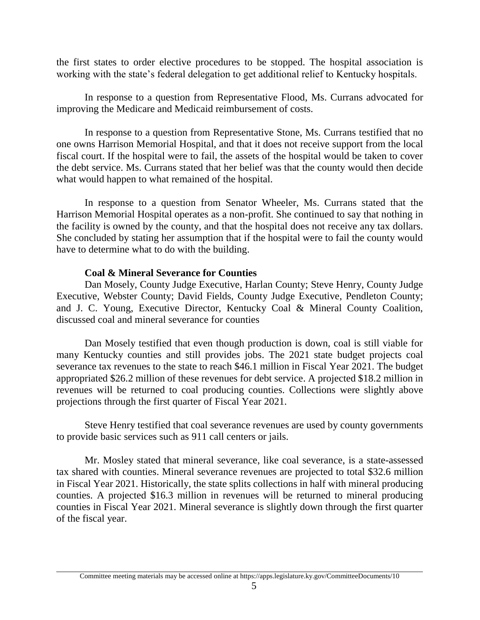the first states to order elective procedures to be stopped. The hospital association is working with the state's federal delegation to get additional relief to Kentucky hospitals.

In response to a question from Representative Flood, Ms. Currans advocated for improving the Medicare and Medicaid reimbursement of costs.

In response to a question from Representative Stone, Ms. Currans testified that no one owns Harrison Memorial Hospital, and that it does not receive support from the local fiscal court. If the hospital were to fail, the assets of the hospital would be taken to cover the debt service. Ms. Currans stated that her belief was that the county would then decide what would happen to what remained of the hospital.

In response to a question from Senator Wheeler, Ms. Currans stated that the Harrison Memorial Hospital operates as a non-profit. She continued to say that nothing in the facility is owned by the county, and that the hospital does not receive any tax dollars. She concluded by stating her assumption that if the hospital were to fail the county would have to determine what to do with the building.

# **Coal & Mineral Severance for Counties**

Dan Mosely, County Judge Executive, Harlan County; Steve Henry, County Judge Executive, Webster County; David Fields, County Judge Executive, Pendleton County; and J. C. Young, Executive Director, Kentucky Coal & Mineral County Coalition, discussed coal and mineral severance for counties

Dan Mosely testified that even though production is down, coal is still viable for many Kentucky counties and still provides jobs. The 2021 state budget projects coal severance tax revenues to the state to reach \$46.1 million in Fiscal Year 2021. The budget appropriated \$26.2 million of these revenues for debt service. A projected \$18.2 million in revenues will be returned to coal producing counties. Collections were slightly above projections through the first quarter of Fiscal Year 2021.

Steve Henry testified that coal severance revenues are used by county governments to provide basic services such as 911 call centers or jails.

Mr. Mosley stated that mineral severance, like coal severance, is a state-assessed tax shared with counties. Mineral severance revenues are projected to total \$32.6 million in Fiscal Year 2021. Historically, the state splits collections in half with mineral producing counties. A projected \$16.3 million in revenues will be returned to mineral producing counties in Fiscal Year 2021. Mineral severance is slightly down through the first quarter of the fiscal year.

Committee meeting materials may be accessed online at https://apps.legislature.ky.gov/CommitteeDocuments/10